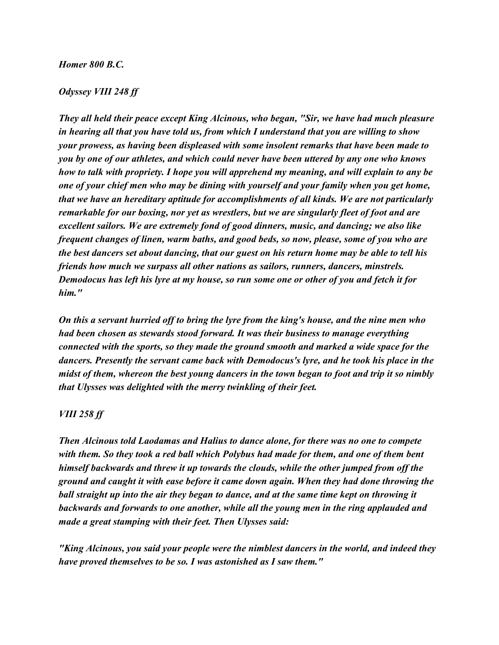## *Homer 800 B.C.*

## *Odyssey VIII 248 ff*

*They all held their peace except King Alcinous, who began, "Sir, we have had much pleasure in hearing all that you have told us, from which I understand that you are willing to show your prowess, as having been displeased with some insolent remarks that have been made to you by one of our athletes, and which could never have been uttered by any one who knows how to talk with propriety. I hope you will apprehend my meaning, and will explain to any be one of your chief men who may be dining with yourself and your family when you get home, that we have an hereditary aptitude for accomplishments of all kinds. We are not particularly remarkable for our boxing, nor yet as wrestlers, but we are singularly fleet of foot and are excellent sailors. We are extremely fond of good dinners, music, and dancing; we also like frequent changes of linen, warm baths, and good beds, so now, please, some of you who are the best dancers set about dancing, that our guest on his return home may be able to tell his friends how much we surpass all other nations as sailors, runners, dancers, minstrels. Demodocus has left his lyre at my house, so run some one or other of you and fetch it for him."*

*On this a servant hurried off to bring the lyre from the king's house, and the nine men who had been chosen as stewards stood forward. It was their business to manage everything connected with the sports, so they made the ground smooth and marked a wide space for the dancers. Presently the servant came back with Demodocus's lyre, and he took his place in the midst of them, whereon the best young dancers in the town began to foot and trip it so nimbly that Ulysses was delighted with the merry twinkling of their feet.*

## *VIII 258 ff*

*Then Alcinous told Laodamas and Halius to dance alone, for there was no one to compete with them. So they took a red ball which Polybus had made for them, and one of them bent himself backwards and threw it up towards the clouds, while the other jumped from off the ground and caught it with ease before it came down again. When they had done throwing the ball straight up into the air they began to dance, and at the same time kept on throwing it backwards and forwards to one another, while all the young men in the ring applauded and made a great stamping with their feet. Then Ulysses said:*

*"King Alcinous, you said your people were the nimblest dancers in the world, and indeed they have proved themselves to be so. I was astonished as I saw them."*